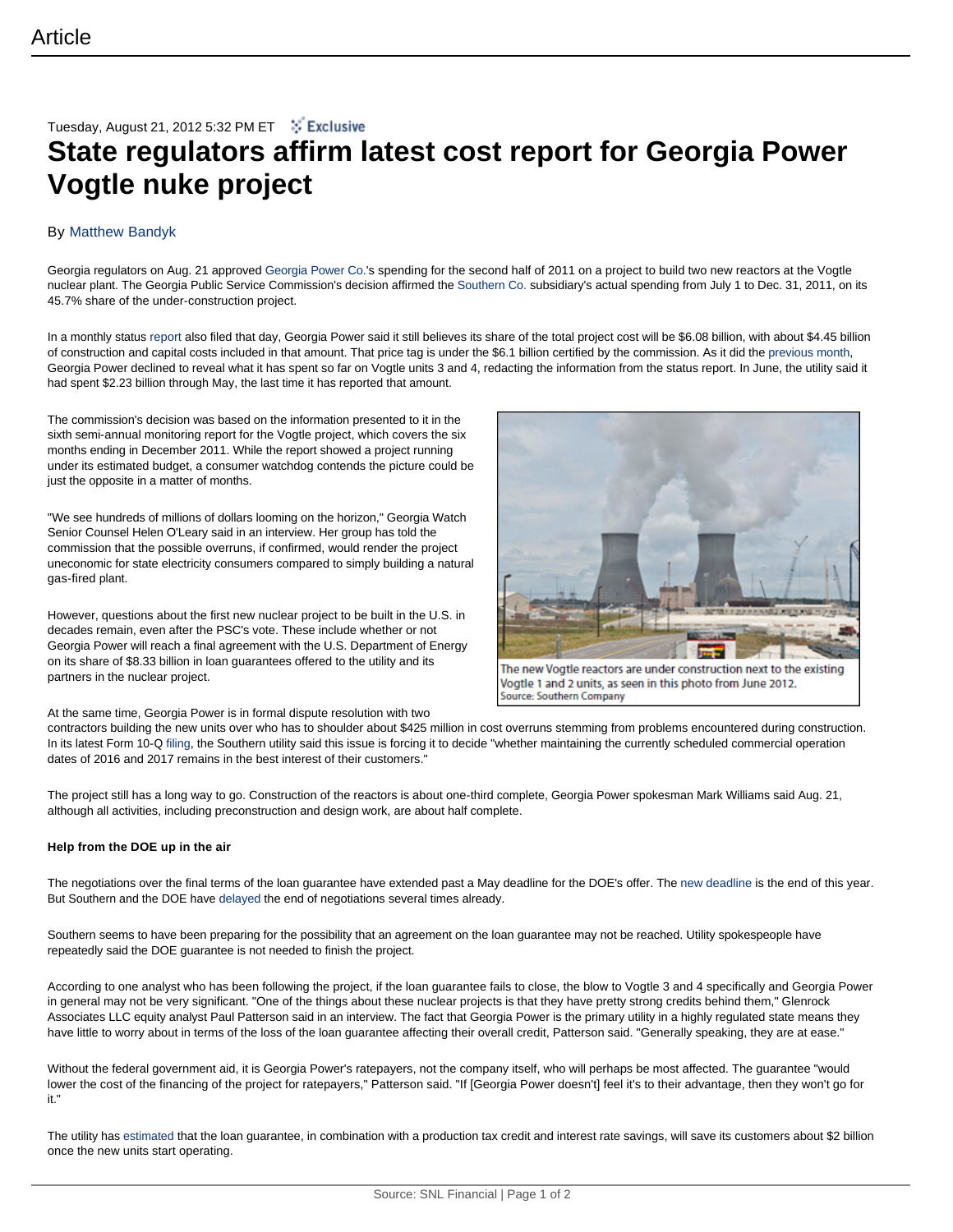## Tuesday, August 21, 2012 5:32 PM ET  $\cdot$   $\cdot$  Exclusive **State regulators affirm latest cost report for Georgia Power Vogtle nuke project**

## By Matthew Bandyk

Georgia regulators on Aug. 21 approved Georgia Power Co.'s spending for the second half of 2011 on a project to build two new reactors at the Vogtle nuclear plant. The Georgia Public Service Commission's decision affirmed the Southern Co. subsidiary's actual spending from July 1 to Dec. 31, 2011, on its 45.7% share of the under-construction project.

In a monthly status report also filed that day, Georgia Power said it still believes its share of the total project cost will be \$6.08 billion, with about \$4.45 billion of construction and capital costs included in that amount. That price tag is under the \$6.1 billion certified by the commission. As it did the previous month, Georgia Power declined to reveal what it has spent so far on Vogtle units 3 and 4, redacting the information from the status report. In June, the utility said it had spent \$2.23 billion through May, the last time it has reported that amount.

The commission's decision was based on the information presented to it in the sixth semi-annual monitoring report for the Vogtle project, which covers the six months ending in December 2011. While the report showed a project running under its estimated budget, a consumer watchdog contends the picture could be just the opposite in a matter of months.

"We see hundreds of millions of dollars looming on the horizon," Georgia Watch Senior Counsel Helen O'Leary said in an interview. Her group has told the commission that the possible overruns, if confirmed, would render the project uneconomic for state electricity consumers compared to simply building a natural gas-fired plant.

However, questions about the first new nuclear project to be built in the U.S. in decades remain, even after the PSC's vote. These include whether or not Georgia Power will reach a final agreement with the U.S. Department of Energy on its share of \$8.33 billion in loan guarantees offered to the utility and its partners in the nuclear project.



The new Vogtle reactors are under construction next to the existing Vogtle 1 and 2 units, as seen in this photo from June 2012. Source: Southern Company

At the same time, Georgia Power is in formal dispute resolution with two

contractors building the new units over who has to shoulder about \$425 million in cost overruns stemming from problems encountered during construction. In its latest Form 10-Q filing, the Southern utility said this issue is forcing it to decide "whether maintaining the currently scheduled commercial operation dates of 2016 and 2017 remains in the best interest of their customers."

The project still has a long way to go. Construction of the reactors is about one-third complete, Georgia Power spokesman Mark Williams said Aug. 21, although all activities, including preconstruction and design work, are about half complete.

## **Help from the DOE up in the air**

The negotiations over the final terms of the loan guarantee have extended past a May deadline for the DOE's offer. The new deadline is the end of this year. But Southern and the DOE have delayed the end of negotiations several times already.

Southern seems to have been preparing for the possibility that an agreement on the loan guarantee may not be reached. Utility spokespeople have repeatedly said the DOE guarantee is not needed to finish the project.

According to one analyst who has been following the project, if the loan guarantee fails to close, the blow to Vogtle 3 and 4 specifically and Georgia Power in general may not be very significant. "One of the things about these nuclear projects is that they have pretty strong credits behind them," Glenrock Associates LLC equity analyst Paul Patterson said in an interview. The fact that Georgia Power is the primary utility in a highly regulated state means they have little to worry about in terms of the loss of the loan guarantee affecting their overall credit, Patterson said. "Generally speaking, they are at ease."

Without the federal government aid, it is Georgia Power's ratepayers, not the company itself, who will perhaps be most affected. The guarantee "would lower the cost of the financing of the project for ratepayers," Patterson said. "If [Georgia Power doesn't] feel it's to their advantage, then they won't go for it."

The utility has estimated that the loan guarantee, in combination with a production tax credit and interest rate savings, will save its customers about \$2 billion once the new units start operating.